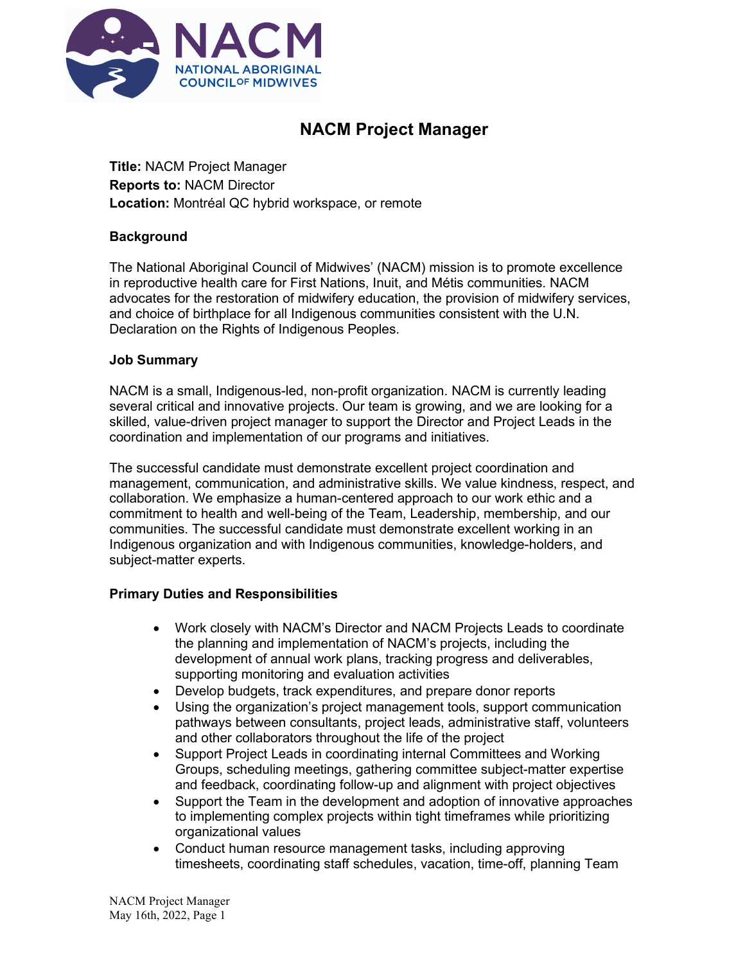

# **NACM Project Manager**

**Title:** NACM Project Manager **Reports to:** NACM Director **Location:** Montréal QC hybrid workspace, or remote

# **Background**

The National Aboriginal Council of Midwives' (NACM) mission is to promote excellence in reproductive health care for First Nations, Inuit, and Métis communities. NACM advocates for the restoration of midwifery education, the provision of midwifery services, and choice of birthplace for all Indigenous communities consistent with the U.N. Declaration on the Rights of Indigenous Peoples.

# **Job Summary**

NACM is a small, Indigenous-led, non-profit organization. NACM is currently leading several critical and innovative projects. Our team is growing, and we are looking for a skilled, value-driven project manager to support the Director and Project Leads in the coordination and implementation of our programs and initiatives.

The successful candidate must demonstrate excellent project coordination and management, communication, and administrative skills. We value kindness, respect, and collaboration. We emphasize a human-centered approach to our work ethic and a commitment to health and well-being of the Team, Leadership, membership, and our communities. The successful candidate must demonstrate excellent working in an Indigenous organization and with Indigenous communities, knowledge-holders, and subject-matter experts.

# **Primary Duties and Responsibilities**

- Work closely with NACM's Director and NACM Projects Leads to coordinate the planning and implementation of NACM's projects, including the development of annual work plans, tracking progress and deliverables, supporting monitoring and evaluation activities
- Develop budgets, track expenditures, and prepare donor reports
- Using the organization's project management tools, support communication pathways between consultants, project leads, administrative staff, volunteers and other collaborators throughout the life of the project
- Support Project Leads in coordinating internal Committees and Working Groups, scheduling meetings, gathering committee subject-matter expertise and feedback, coordinating follow-up and alignment with project objectives
- Support the Team in the development and adoption of innovative approaches to implementing complex projects within tight timeframes while prioritizing organizational values
- Conduct human resource management tasks, including approving timesheets, coordinating staff schedules, vacation, time-off, planning Team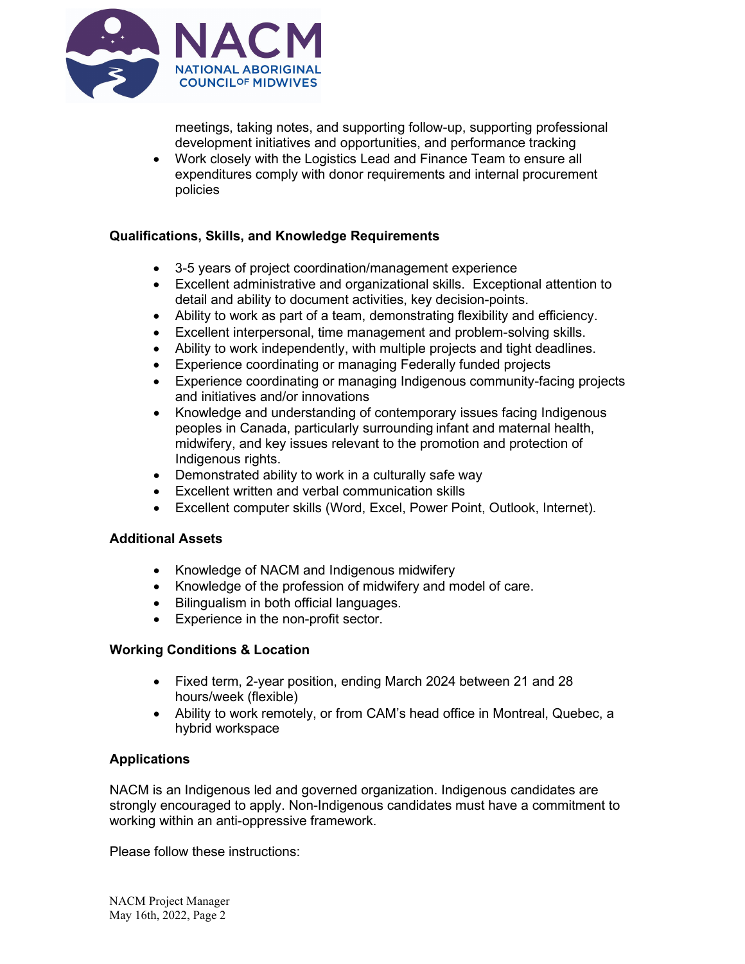

meetings, taking notes, and supporting follow-up, supporting professional development initiatives and opportunities, and performance tracking

• Work closely with the Logistics Lead and Finance Team to ensure all expenditures comply with donor requirements and internal procurement policies

# **Qualifications, Skills, and Knowledge Requirements**

- 3-5 years of project coordination/management experience
- Excellent administrative and organizational skills. Exceptional attention to detail and ability to document activities, key decision-points.
- Ability to work as part of a team, demonstrating flexibility and efficiency.
- Excellent interpersonal, time management and problem-solving skills.
- Ability to work independently, with multiple projects and tight deadlines.
- Experience coordinating or managing Federally funded projects
- Experience coordinating or managing Indigenous community-facing projects and initiatives and/or innovations
- Knowledge and understanding of contemporary issues facing Indigenous peoples in Canada, particularly surrounding infant and maternal health, midwifery, and key issues relevant to the promotion and protection of Indigenous rights.
- Demonstrated ability to work in a culturally safe way
- Excellent written and verbal communication skills
- Excellent computer skills (Word, Excel, Power Point, Outlook, Internet).

# **Additional Assets**

- Knowledge of NACM and Indigenous midwifery
- Knowledge of the profession of midwifery and model of care.
- Bilingualism in both official languages.
- Experience in the non-profit sector.

# **Working Conditions & Location**

- Fixed term, 2-year position, ending March 2024 between 21 and 28 hours/week (flexible)
- Ability to work remotely, or from CAM's head office in Montreal, Quebec, a hybrid workspace

# **Applications**

NACM is an Indigenous led and governed organization. Indigenous candidates are strongly encouraged to apply. Non-Indigenous candidates must have a commitment to working within an anti-oppressive framework.

Please follow these instructions: